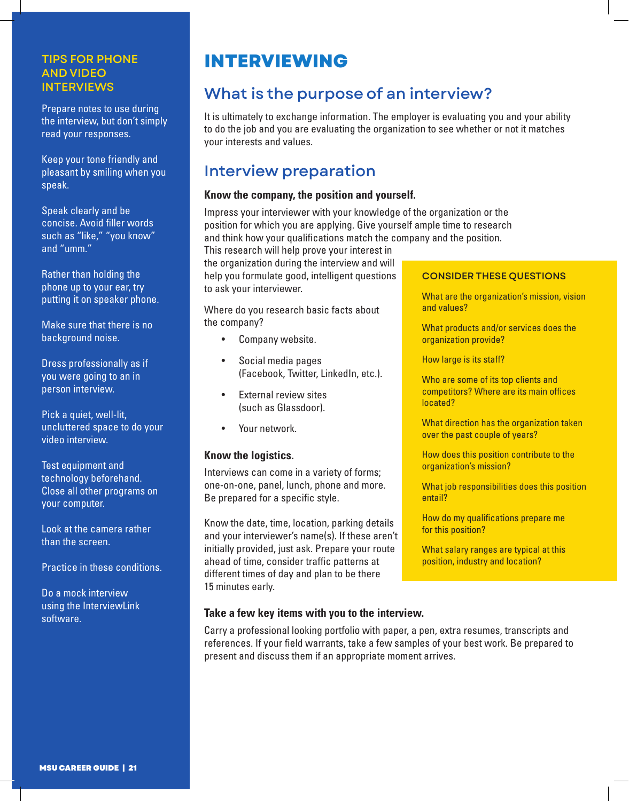## TIPS FOR PHONE AND VIDEO INTERVIEWS

Prepare notes to use during the interview, but don't simply read your responses.

Keep your tone friendly and pleasant by smiling when you speak.

Speak clearly and be concise. Avoid filler words such as "like," "you know" and "umm."

Rather than holding the phone up to your ear, try putting it on speaker phone.

Make sure that there is no background noise.

Dress professionally as if you were going to an in person interview.

Pick a quiet, well-lit, uncluttered space to do your video interview.

Test equipment and technology beforehand. Close all other programs on your computer.

Look at the camera rather than the screen.

Practice in these conditions.

Do a mock interview using the InterviewLink software.

# **INTERVIEWING**

# What is the purpose of an interview?

It is ultimately to exchange information. The employer is evaluating you and your ability to do the job and you are evaluating the organization to see whether or not it matches your interests and values.

# Interview preparation

# **Know the company, the position and yourself.**

Impress your interviewer with your knowledge of the organization or the position for which you are applying. Give yourself ample time to research and think how your qualifications match the company and the position.

This research will help prove your interest in the organization during the interview and will help you formulate good, intelligent questions to ask your interviewer.

Where do you research basic facts about the company?

- Company website.
- Social media pages (Facebook, Twitter, LinkedIn, etc.).
- External review sites (such as Glassdoor).
- Your network.

## **Know the logistics.**

Interviews can come in a variety of forms; one-on-one, panel, lunch, phone and more. Be prepared for a specific style.

Know the date, time, location, parking details and your interviewer's name(s). If these aren't initially provided, just ask. Prepare your route ahead of time, consider traffic patterns at different times of day and plan to be there 15 minutes early.

## CONSIDER THESE QUESTIONS

What are the organization's mission, vision and values?

What products and/or services does the organization provide?

How large is its staff?

Who are some of its top clients and competitors? Where are its main offices located?

What direction has the organization taken over the past couple of years?

How does this position contribute to the organization's mission?

What job responsibilities does this position entail?

How do my qualifications prepare me for this position?

What salary ranges are typical at this position, industry and location?

# **Take a few key items with you to the interview.**

Carry a professional looking portfolio with paper, a pen, extra resumes, transcripts and references. If your field warrants, take a few samples of your best work. Be prepared to present and discuss them if an appropriate moment arrives.